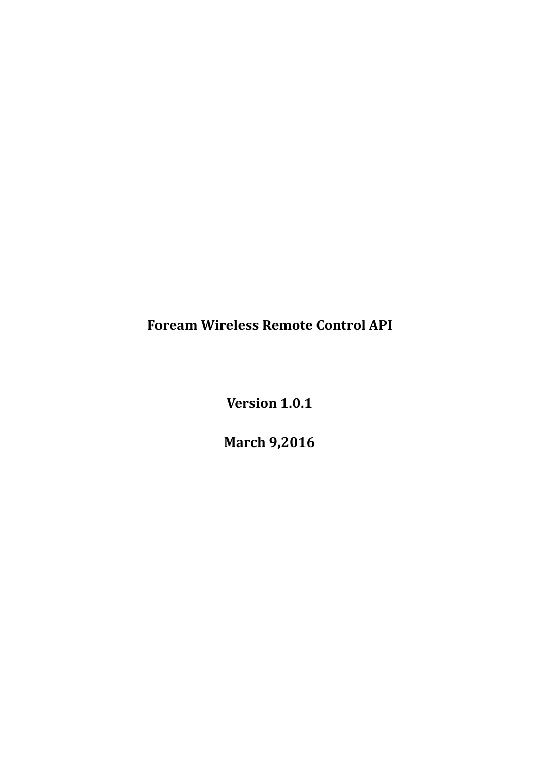**Foream Wireless Remote Control API**

**Version 1.0.1**

**March 9,2016**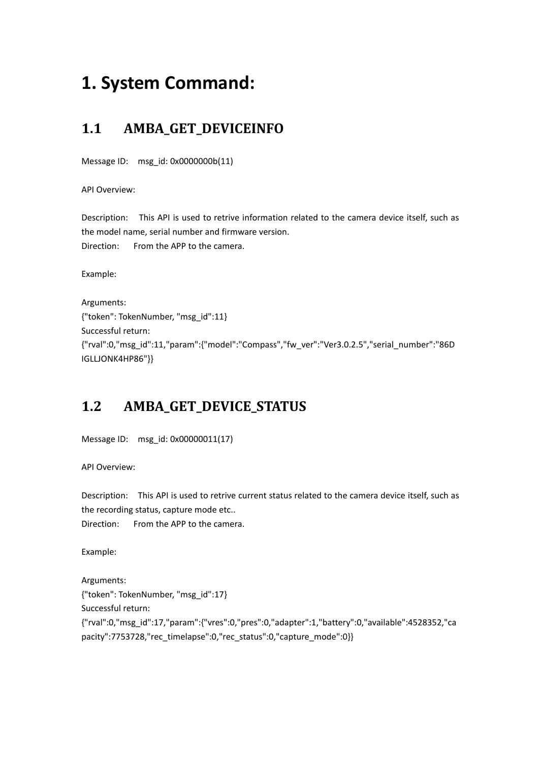# **1. System Command:**

# **1.1 AMBA\_GET\_DEVICEINFO**

Message ID: msg\_id: 0x0000000b(11)

API Overview:

Description: This API is used to retrive information related to the camera device itself, such as the model name, serial number and firmware version. Direction: From the APP to the camera.

Example:

Arguments: {"token": TokenNumber, "msg\_id":11} Successful return: {"rval":0,"msg\_id":11,"param":{"model":"Compass","fw\_ver":"Ver3.0.2.5","serial\_number":"86D IGLLJONK4HP86"}}

# **1.2 AMBA\_GET\_DEVICE\_STATUS**

```
Message ID: msg_id: 0x00000011(17)
```
API Overview:

Description: This API is used to retrive current status related to the camera device itself, such as the recording status, capture mode etc..

Direction: From the APP to the camera.

Example:

Arguments: {"token": TokenNumber, "msg\_id":17} Successful return: {"rval":0,"msg\_id":17,"param":{"vres":0,"pres":0,"adapter":1,"battery":0,"available":4528352,"ca pacity":7753728,"rec\_timelapse":0,"rec\_status":0,"capture\_mode":0}}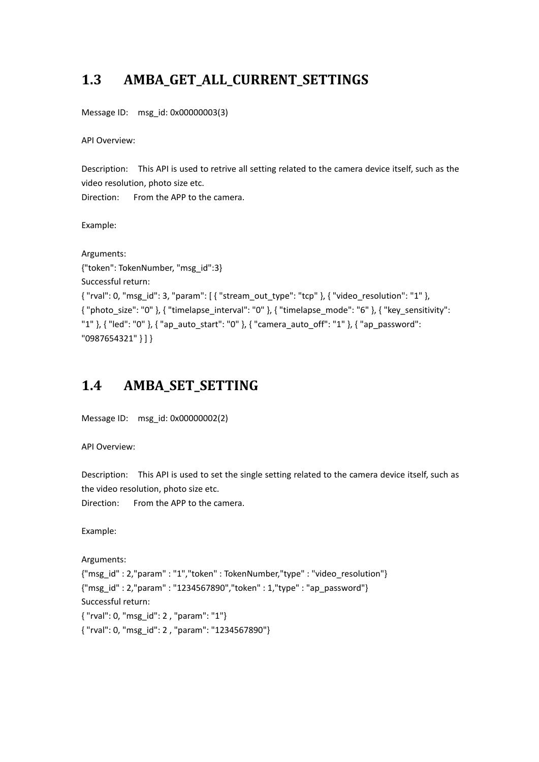# **1.3 AMBA\_GET\_ALL\_CURRENT\_SETTINGS**

Message ID: msg\_id: 0x00000003(3)

API Overview:

Description: This API is used to retrive all setting related to the camera device itself, such as the video resolution, photo size etc.

Direction: From the APP to the camera.

Example:

```
Arguments:
{"token": TokenNumber, "msg_id":3}
Successful return:
{ "rval": 0, "msg_id": 3, "param": [ { "stream_out_type": "tcp" }, { "video_resolution": "1" },
{ "photo_size": "0" }, { "timelapse_interval": "0" }, { "timelapse_mode": "6" }, { "key_sensitivity":
"1" }, { "led": "0" }, { "ap_auto_start": "0" }, { "camera_auto_off": "1" }, { "ap_password":
"0987654321" } ] }
```
### **1.4 AMBA\_SET\_SETTING**

```
Message ID: msg_id: 0x00000002(2)
```
API Overview:

Description: This API is used to set the single setting related to the camera device itself, such as the video resolution, photo size etc.

Direction: From the APP to the camera.

Example:

Arguments:

{"msg\_id" : 2,"param" : "1","token" : TokenNumber,"type" : "video\_resolution"} {"msg\_id" : 2,"param" : "1234567890","token" : 1,"type" : "ap\_password"} Successful return: { "rval": 0, "msg\_id": 2 , "param": "1"} { "rval": 0, "msg\_id": 2 , "param": "1234567890"}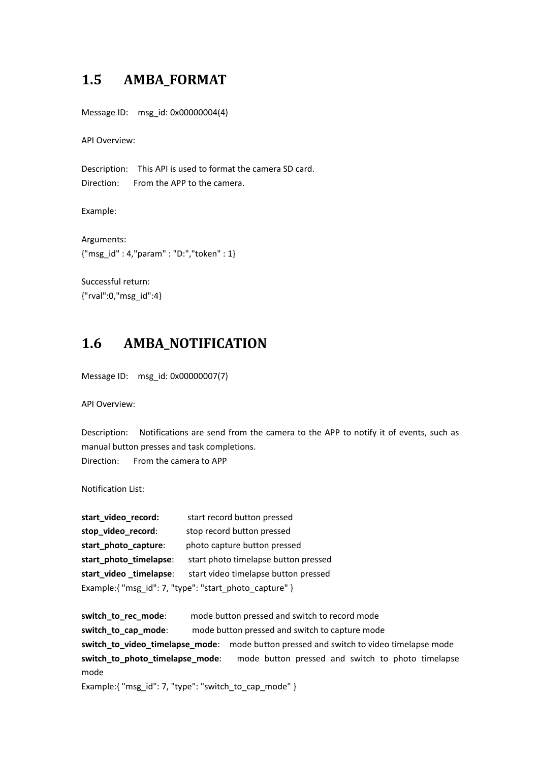#### **1.5 AMBA\_FORMAT**

Message ID: msg\_id: 0x00000004(4)

API Overview:

Description: This API is used to format the camera SD card. Direction: From the APP to the camera.

Example:

Arguments: {"msg\_id" : 4,"param" : "D:","token" : 1}

Successful return: {"rval":0,"msg\_id":4}

#### **1.6 AMBA\_NOTIFICATION**

Message ID: msg\_id: 0x00000007(7)

API Overview:

Description: Notifications are send from the camera to the APP to notify it of events, such as manual button presses and task completions. Direction: From the camera to APP

Notification List:

**start\_video\_record:** start record button pressed stop\_video\_record: stop record button pressed start photo capture: photo capture button pressed **start\_photo\_timelapse**: start photo timelapse button pressed **start\_video\_timelapse**: start video timelapse button pressed Example:{ "msg\_id": 7, "type": "start\_photo\_capture" }

**switch to rec mode:** mode button pressed and switch to record mode **switch to cap mode:** mode button pressed and switch to capture mode **switch\_to\_video\_timelapse\_mode**: mode button pressed and switch to video timelapse mode **switch\_to\_photo\_timelapse\_mode**: mode button pressed and switch to photo timelapse mode Example:{ "msg\_id": 7, "type": "switch\_to\_cap\_mode" }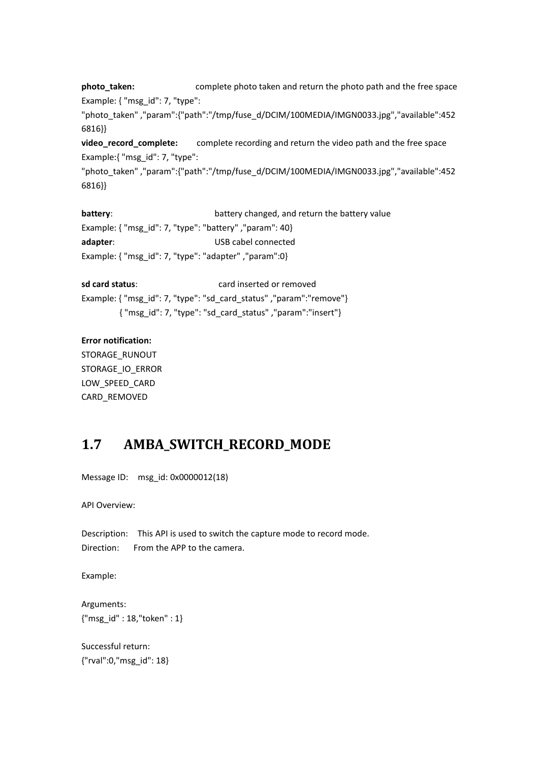**photo\_taken:** complete photo taken and return the photo path and the free space Example: { "msg\_id": 7, "type":

"photo\_taken" ,"param":{"path":"/tmp/fuse\_d/DCIM/100MEDIA/IMGN0033.jpg","available":452 6816}}

**video\_record\_complete:** complete recording and return the video path and the free space Example:{ "msg\_id": 7, "type":

"photo\_taken" ,"param":{"path":"/tmp/fuse\_d/DCIM/100MEDIA/IMGN0033.jpg","available":452 6816}}

**battery:** battery changed, and return the battery value Example: { "msg\_id": 7, "type": "battery" ,"param": 40} **adapter**: USB cabel connected Example: { "msg\_id": 7, "type": "adapter" ,"param":0}

**sd card status**: card inserted or removed Example: { "msg\_id": 7, "type": "sd\_card\_status" ,"param":"remove"} { "msg\_id": 7, "type": "sd\_card\_status" ,"param":"insert"}

#### **Error notification:**

STORAGE\_RUNOUT STORAGE\_IO\_ERROR LOW SPEED CARD CARD\_REMOVED

#### **1.7 AMBA\_SWITCH\_RECORD\_MODE**

Message ID: msg\_id: 0x0000012(18)

API Overview:

Description: This API is used to switch the capture mode to record mode. Direction: From the APP to the camera.

Example:

Arguments: {"msg\_id" : 18,"token" : 1}

Successful return: {"rval":0,"msg\_id": 18}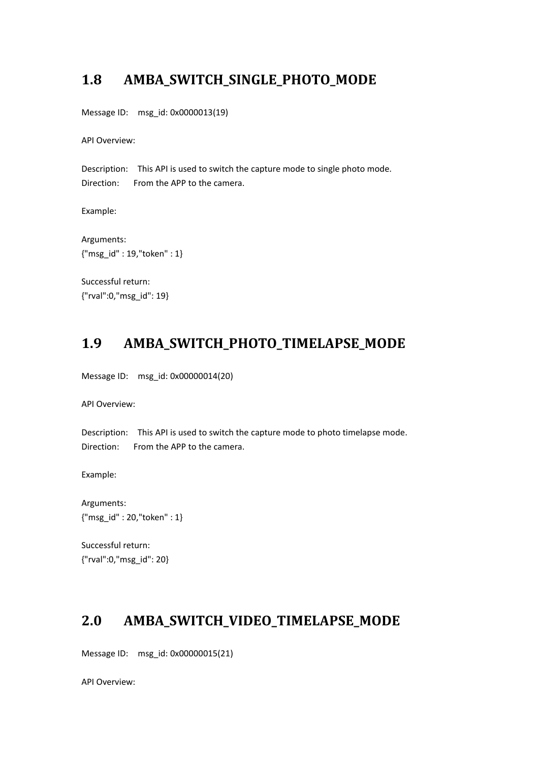#### **1.8 AMBA\_SWITCH\_SINGLE\_PHOTO\_MODE**

Message ID: msg\_id: 0x0000013(19)

API Overview:

Description: This API is used to switch the capture mode to single photo mode. Direction: From the APP to the camera.

Example:

Arguments: {"msg\_id" : 19,"token" : 1}

Successful return: {"rval":0,"msg\_id": 19}

# **1.9 AMBA\_SWITCH\_PHOTO\_TIMELAPSE\_MODE**

Message ID: msg\_id: 0x00000014(20)

API Overview:

Description: This API is used to switch the capture mode to photo timelapse mode. Direction: From the APP to the camera.

Example:

Arguments: {"msg\_id" : 20,"token" : 1}

Successful return: {"rval":0,"msg\_id": 20}

#### **2.0 AMBA\_SWITCH\_VIDEO\_TIMELAPSE\_MODE**

Message ID: msg\_id: 0x00000015(21)

API Overview: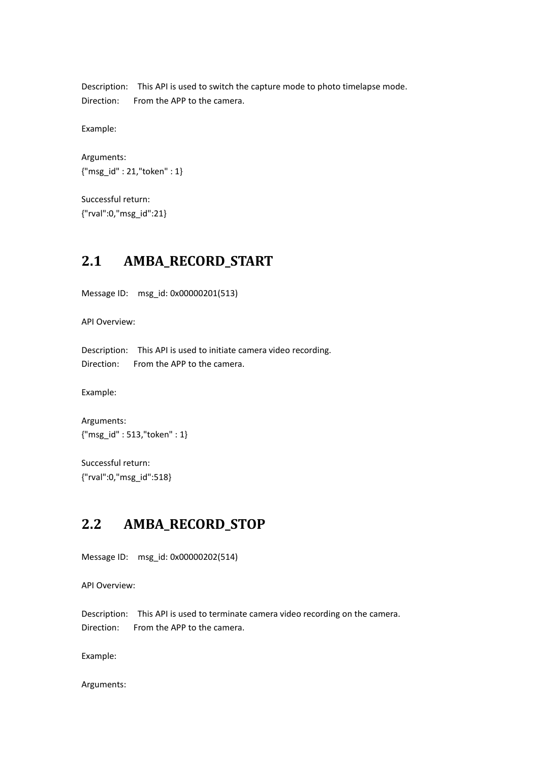Description: This API is used to switch the capture mode to photo timelapse mode. Direction: From the APP to the camera.

Example:

Arguments: {"msg\_id" : 21,"token" : 1}

Successful return: {"rval":0,"msg\_id":21}

#### **2.1 AMBA\_RECORD\_START**

Message ID: msg\_id: 0x00000201(513)

API Overview:

Description: This API is used to initiate camera video recording. Direction: From the APP to the camera.

Example:

Arguments: {"msg\_id" : 513,"token" : 1}

Successful return: {"rval":0,"msg\_id":518}

### **2.2 AMBA\_RECORD\_STOP**

Message ID: msg\_id: 0x00000202(514)

API Overview:

Description: This API is used to terminate camera video recording on the camera. Direction: From the APP to the camera.

Example:

Arguments: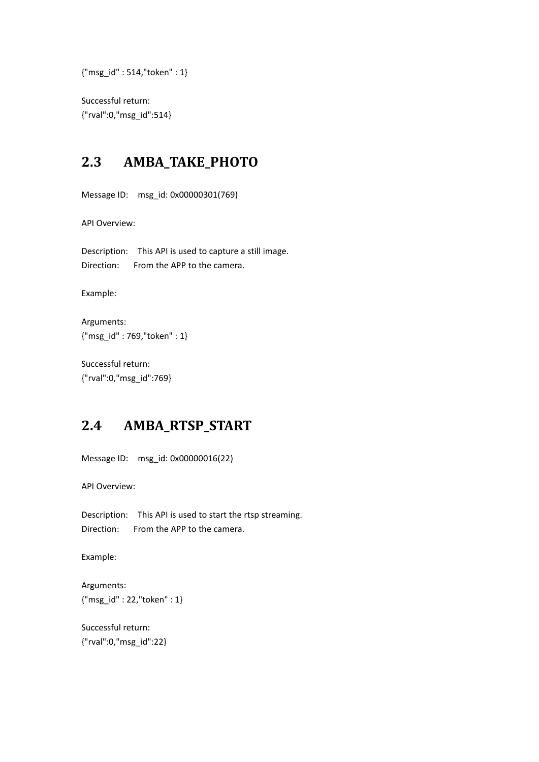{"msg\_id" : 514,"token" : 1}

Successful return: {"rval":0,"msg\_id":514}

# **2.3 AMBA\_TAKE\_PHOTO**

Message ID: msg\_id: 0x00000301(769)

API Overview:

Description: This API is used to capture a still image. Direction: From the APP to the camera.

Example:

Arguments: {"msg\_id" : 769,"token" : 1}

Successful return: {"rval":0,"msg\_id":769}

# **2.4 AMBA\_RTSP\_START**

Message ID: msg\_id: 0x00000016(22)

API Overview:

Description: This API is used to start the rtsp streaming. Direction: From the APP to the camera.

Example:

Arguments: {"msg\_id" : 22,"token" : 1}

Successful return: {"rval":0,"msg\_id":22}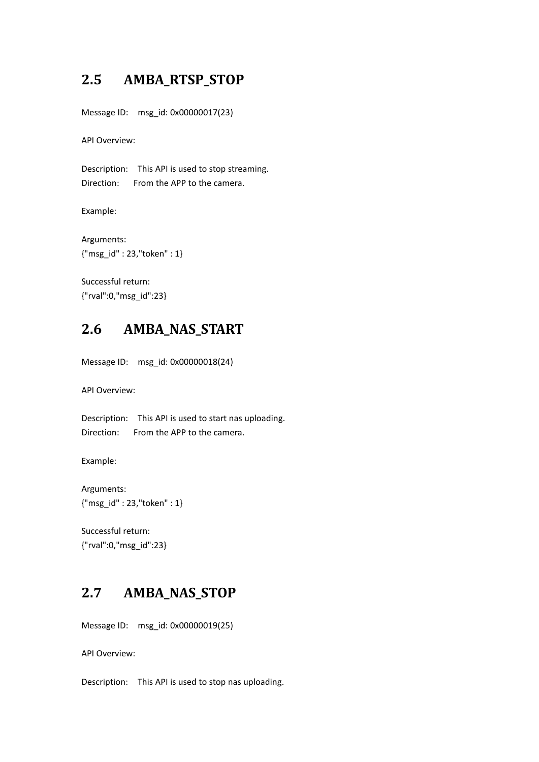# **2.5 AMBA\_RTSP\_STOP**

Message ID: msg\_id: 0x00000017(23)

API Overview:

Description: This API is used to stop streaming. Direction: From the APP to the camera.

Example:

Arguments: {"msg\_id" : 23,"token" : 1}

Successful return: {"rval":0,"msg\_id":23}

#### **2.6 AMBA\_NAS\_START**

Message ID: msg\_id: 0x00000018(24)

API Overview:

Description: This API is used to start nas uploading. Direction: From the APP to the camera.

Example:

Arguments: {"msg\_id" : 23,"token" : 1}

Successful return: {"rval":0,"msg\_id":23}

# **2.7 AMBA\_NAS\_STOP**

Message ID: msg\_id: 0x00000019(25)

API Overview:

Description: This API is used to stop nas uploading.